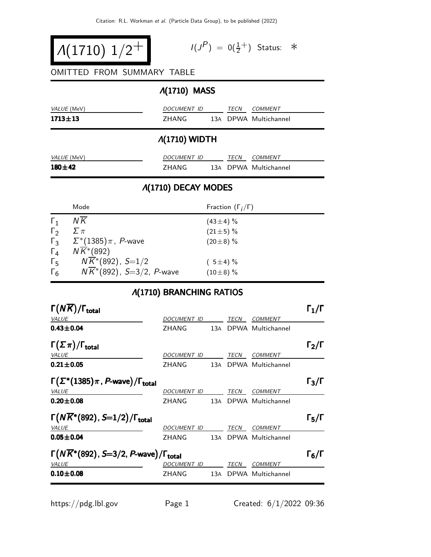$$
\bigg| A(1710) \; 1/2^+ \bigg| \qquad \qquad ^{\, \, \prime\, \prime} \qquad \qquad ^{\, \, \prime\, \prime}
$$

$$
I(J^P) = 0(\frac{1}{2}^+) \quad \text{Status:} \quad *
$$

#### OMITTED FROM SUMMARY TABLE

# Λ(1710) MASS

| . <b>.</b>    |             |  |             |                       |
|---------------|-------------|--|-------------|-----------------------|
| $1713 \pm 13$ | 7HANG       |  |             | 13A DPWA Multichannel |
| VALUE (MeV)   | DOCUMENT ID |  | <b>TFCN</b> | COMMENT               |

#### Λ(1710) WIDTH

| <i>VALUE</i> (MeV) | DOCUMENT ID | <b>TFCN</b> | COMMENT               |
|--------------------|-------------|-------------|-----------------------|
| $180\pm42$         | 7HANG       |             | 13A DPWA Multichannel |

## Λ(1710) DECAY MODES

|              | Mode                                            | Fraction $(\Gamma_i/\Gamma)$ |
|--------------|-------------------------------------------------|------------------------------|
| $\Gamma_1$   | N K                                             | $(43\pm4)$ %                 |
| $\Gamma_{2}$ | $\Sigma \pi$                                    | $(21 \pm 5)$ %               |
|              | $\Gamma_3$ $\Sigma^*(1385)\pi$ , <i>P</i> -wave | $(20\pm 8)$ %                |
| $\Gamma_4$   | $N\overline{K}$ <sup>*</sup> (892)              |                              |
| $\Gamma_5$   | $N\overline{K}$ *(892), S=1/2                   | $(5\pm4)\%$                  |
| $\Gamma_6$   | $N\overline{K}$ *(892), S=3/2, P-wave           | $(10\pm8)$ %                 |

## Λ(1710) BRANCHING RATIOS

| $\Gamma(N\overline{K})/\Gamma_{\rm total}$                              |                     |     |             |                       | $\Gamma_1/\Gamma$ |
|-------------------------------------------------------------------------|---------------------|-----|-------------|-----------------------|-------------------|
| <b>VALUE</b>                                                            | DOCU <u>MENT ID</u> |     | TECN        | <b>COMMENT</b>        |                   |
| $0.43 + 0.04$                                                           | ZHANG               | 13A |             | DPWA Multichannel     |                   |
| $\Gamma(\Sigma \pi)/\Gamma_{\rm total}$                                 |                     |     |             |                       | $\Gamma_2/\Gamma$ |
| <i>VALUE</i>                                                            | DOCUMENT ID         |     | <b>TECN</b> | <b>COMMENT</b>        |                   |
| $0.21 \pm 0.05$                                                         | ZHANG               |     |             | 13A DPWA Multichannel |                   |
| $\Gamma(\Sigma^*(1385)\pi, P\text{-wave})/\Gamma_{\text{total}}$        |                     |     |             |                       | $\Gamma_3/\Gamma$ |
| <i>VALUE</i>                                                            | DOCUMENT ID         |     | <b>TECN</b> | COMMENT               |                   |
| $0.20 \pm 0.08$                                                         | <b>ZHANG</b>        |     |             | 13A DPWA Multichannel |                   |
| $\Gamma(N\overline{K}^*(892), S=1/2)/\Gamma_{\rm total}$                |                     |     |             |                       | $\Gamma_5/\Gamma$ |
| <b>VALUE</b>                                                            | DOCUMENT ID         |     | TECN        | <b>COMMENT</b>        |                   |
| $0.05 + 0.04$                                                           | ZHANG               | 13A |             | DPWA Multichannel     |                   |
| $\Gamma(N\overline{K}^*(892), S=3/2, P$ -wave)/ $\Gamma_{\text{total}}$ |                     |     |             |                       | $\Gamma_6/\Gamma$ |
| <b>VALUE</b>                                                            | DOCUMENT ID         |     | TECN        | <b>COMMENT</b>        |                   |
| $0.10 + 0.08$                                                           | ZHANG               | 13A |             | DPWA Multichannel     |                   |
|                                                                         |                     |     |             |                       |                   |